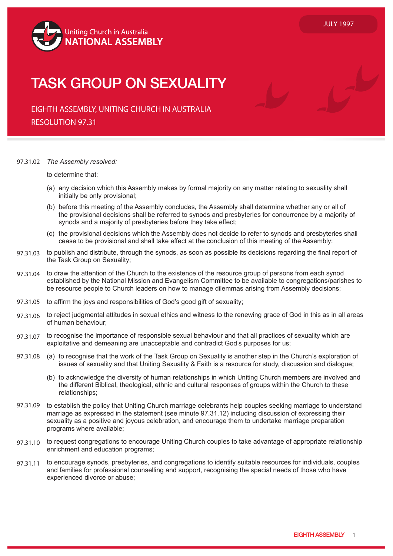

## TACK COOLID ON CEVILAL ITY EMPLOYMENT RELATIONSHIPS TASK GROUP ON SEXUALITY

EIGHTH ASSEMBLY, UNITING CHURCH IN AUSTRALIA RESOLUTION 97.31

## 97.31.02 *The Assembly resolved:*

to determine that:

- (a) any decision which this Assembly makes by formal majority on any matter relating to sexuality shall initially be only provisional;
- (b) before this meeting of the Assembly concludes, the Assembly shall determine whether any or all of the provisional decisions shall be referred to synods and presbyteries for concurrence by a majority of synods and a majority of presbyteries before they take effect;
- (c) the provisional decisions which the Assembly does not decide to refer to synods and presbyteries shall cease to be provisional and shall take effect at the conclusion of this meeting of the Assembly;
- 97.31.03 to publish and distribute, through the synods, as soon as possible its decisions regarding the final report of the Task Group on Sexuality;
- 97.31.04 to draw the attention of the Church to the existence of the resource group of persons from each synod established by the National Mission and Evangelism Committee to be available to congregations/parishes to be resource people to Church leaders on how to manage dilemmas arising from Assembly decisions;
- 97.31.05 to affirm the joys and responsibilities of God's good gift of sexuality;
- 97.31.06 to reject judgmental attitudes in sexual ethics and witness to the renewing grace of God in this as in all areas of human behaviour;
- 97.31.07 to recognise the importance of responsible sexual behaviour and that all practices of sexuality which are exploitative and demeaning are unacceptable and contradict God's purposes for us;
- 97.31.08 (a) to recognise that the work of the Task Group on Sexuality is another step in the Church's exploration of issues of sexuality and that Uniting Sexuality & Faith is a resource for study, discussion and dialogue;
	- (b) to acknowledge the diversity of human relationships in which Uniting Church members are involved and the different Biblical, theological, ethnic and cultural responses of groups within the Church to these relationships;
- 97.31.09 to establish the policy that Uniting Church marriage celebrants help couples seeking marriage to understand marriage as expressed in the statement (see minute 97.31.12) including discussion of expressing their sexuality as a positive and joyous celebration, and encourage them to undertake marriage preparation programs where available;
- 97.31.10 to request congregations to encourage Uniting Church couples to take advantage of appropriate relationship enrichment and education programs;
- 97.31.11 to encourage synods, presbyteries, and congregations to identify suitable resources for individuals, couples and families for professional counselling and support, recognising the special needs of those who have experienced divorce or abuse;

JULY 1997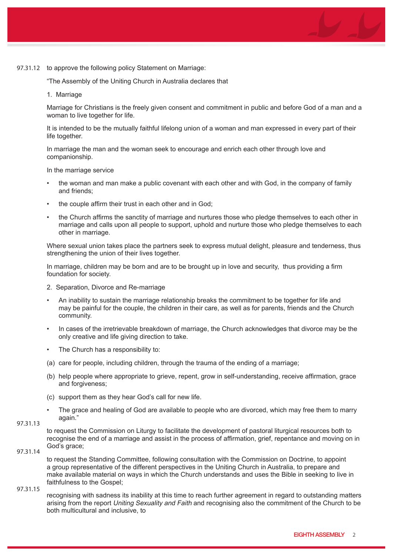

"The Assembly of the Uniting Church in Australia declares that

1. Marriage

Marriage for Christians is the freely given consent and commitment in public and before God of a man and a woman to live together for life.

It is intended to be the mutually faithful lifelong union of a woman and man expressed in every part of their life together.

In marriage the man and the woman seek to encourage and enrich each other through love and companionship.

In the marriage service

- the woman and man make a public covenant with each other and with God, in the company of family and friends;
- the couple affirm their trust in each other and in God;
- the Church affirms the sanctity of marriage and nurtures those who pledge themselves to each other in marriage and calls upon all people to support, uphold and nurture those who pledge themselves to each other in marriage.

Where sexual union takes place the partners seek to express mutual delight, pleasure and tenderness, thus strengthening the union of their lives together.

In marriage, children may be born and are to be brought up in love and security, thus providing a firm foundation for society.

- 2. Separation, Divorce and Re-marriage
- An inability to sustain the marriage relationship breaks the commitment to be together for life and may be painful for the couple, the children in their care, as well as for parents, friends and the Church community.
- In cases of the irretrievable breakdown of marriage, the Church acknowledges that divorce may be the only creative and life giving direction to take.
- The Church has a responsibility to:
- (a) care for people, including children, through the trauma of the ending of a marriage;
- (b) help people where appropriate to grieve, repent, grow in self-understanding, receive affirmation, grace and forgiveness;
- (c) support them as they hear God's call for new life.
- The grace and healing of God are available to people who are divorced, which may free them to marry again."

97.31.13

to request the Commission on Liturgy to facilitate the development of pastoral liturgical resources both to recognise the end of a marriage and assist in the process of affirmation, grief, repentance and moving on in God's grace;

97.31.14

to request the Standing Committee, following consultation with the Commission on Doctrine, to appoint a group representative of the different perspectives in the Uniting Church in Australia, to prepare and make available material on ways in which the Church understands and uses the Bible in seeking to live in faithfulness to the Gospel;

recognising with sadness its inability at this time to reach further agreement in regard to outstanding matters arising from the report Uniting Sexuality and Faith and recognising also the commitment of the Church to be both multicultural and inclusive, to 97.31.15